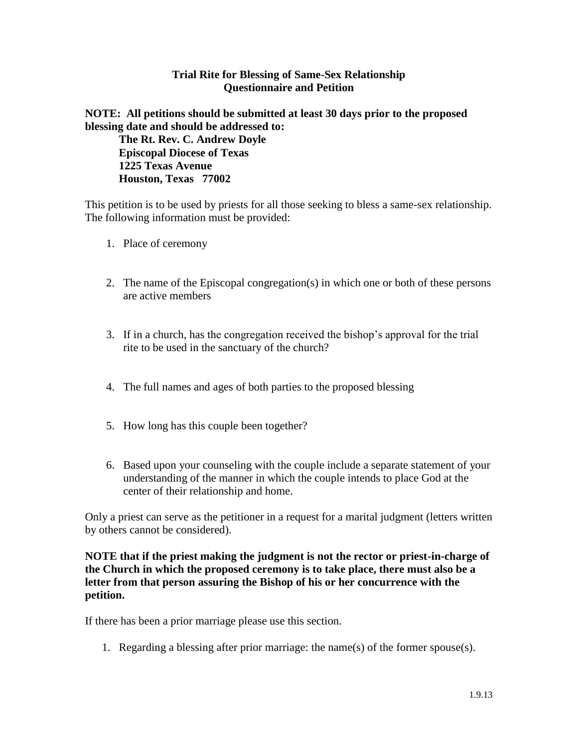## **Trial Rite for Blessing of Same-Sex Relationship Questionnaire and Petition**

## **NOTE: All petitions should be submitted at least 30 days prior to the proposed blessing date and should be addressed to:**

**The Rt. Rev. C. Andrew Doyle Episcopal Diocese of Texas 1225 Texas Avenue Houston, Texas 77002**

This petition is to be used by priests for all those seeking to bless a same-sex relationship. The following information must be provided:

- 1. Place of ceremony
- 2. The name of the Episcopal congregation(s) in which one or both of these persons are active members
- 3. If in a church, has the congregation received the bishop's approval for the trial rite to be used in the sanctuary of the church?
- 4. The full names and ages of both parties to the proposed blessing
- 5. How long has this couple been together?
- 6. Based upon your counseling with the couple include a separate statement of your understanding of the manner in which the couple intends to place God at the center of their relationship and home.

Only a priest can serve as the petitioner in a request for a marital judgment (letters written by others cannot be considered).

**NOTE that if the priest making the judgment is not the rector or priest-in-charge of the Church in which the proposed ceremony is to take place, there must also be a letter from that person assuring the Bishop of his or her concurrence with the petition.**

If there has been a prior marriage please use this section.

1. Regarding a blessing after prior marriage: the name(s) of the former spouse(s).